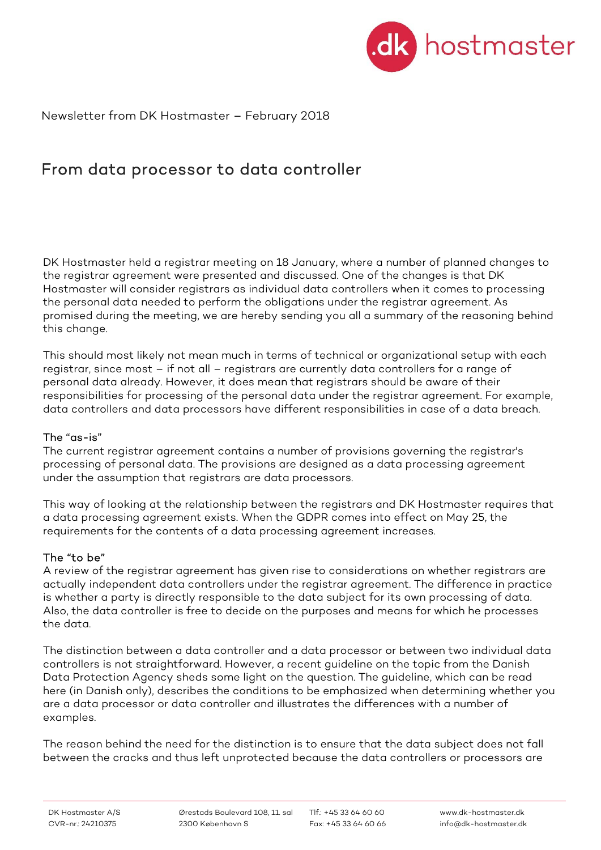

Newsletter from DK Hostmaster – February 2018

# From data processor to data controller

DK Hostmaster held a registrar meeting on 18 January, where a number of planned changes to the registrar agreement were presented and discussed. One of the changes is that DK Hostmaster will consider registrars as individual data controllers when it comes to processing the personal data needed to perform the obligations under the registrar agreement. As promised during the meeting, we are hereby sending you all a summary of the reasoning behind this change.

This should most likely not mean much in terms of technical or organizational setup with each registrar, since most – if not all – registrars are currently data controllers for a range of personal data already. However, it does mean that registrars should be aware of their responsibilities for processing of the personal data under the registrar agreement. For example, data controllers and data processors have different responsibilities in case of a data breach.

#### The "as-is"

The current registrar agreement contains a number of provisions governing the registrar's processing of personal data. The provisions are designed as a data processing agreement under the assumption that registrars are data processors.

This way of looking at the relationship between the registrars and DK Hostmaster requires that a data processing agreement exists. When the GDPR comes into effect on May 25, the requirements for the contents of a data processing agreement increases.

#### The "to be"

A review of the registrar agreement has given rise to considerations on whether registrars are actually independent data controllers under the registrar agreement. The difference in practice is whether a party is directly responsible to the data subject for its own processing of data. Also, the data controller is free to decide on the purposes and means for which he processes the data.

The distinction between a data controller and a data processor or between two individual data controllers is not straightforward. However, a recent guideline on the topic from the Danish Data Protection Agency sheds some light on the question. The guideline, which can be read here (in Danish only), describes the conditions to be emphasized when determining whether you are a data processor or data controller and illustrates the differences with a number of examples.

The reason behind the need for the distinction is to ensure that the data subject does not fall between the cracks and thus left unprotected because the data controllers or processors are